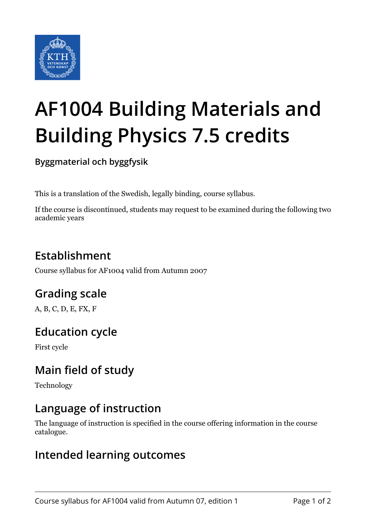

# **AF1004 Building Materials and Building Physics 7.5 credits**

**Byggmaterial och byggfysik**

This is a translation of the Swedish, legally binding, course syllabus.

If the course is discontinued, students may request to be examined during the following two academic years

# **Establishment**

Course syllabus for AF1004 valid from Autumn 2007

# **Grading scale**

A, B, C, D, E, FX, F

## **Education cycle**

First cycle

## **Main field of study**

Technology

#### **Language of instruction**

The language of instruction is specified in the course offering information in the course catalogue.

#### **Intended learning outcomes**